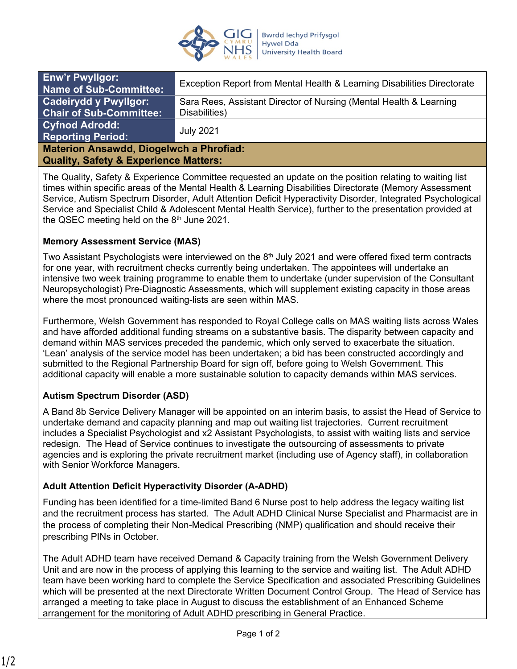

| <b>Enw'r Pwyllgor:</b><br>Name of Sub-Committee:                                                   | Exception Report from Mental Health & Learning Disabilities Directorate             |
|----------------------------------------------------------------------------------------------------|-------------------------------------------------------------------------------------|
| <b>Cadeirydd y Pwyllgor:</b><br>Chair of Sub-Committee:                                            | Sara Rees, Assistant Director of Nursing (Mental Health & Learning<br>Disabilities) |
| <b>Cyfnod Adrodd:</b><br><b>Reporting Period:</b>                                                  | <b>July 2021</b>                                                                    |
| <b>Materion Ansawdd, Diogelwch a Phrofiad:</b><br><b>Quality, Safety &amp; Experience Matters:</b> |                                                                                     |

The Quality, Safety & Experience Committee requested an update on the position relating to waiting list times within specific areas of the Mental Health & Learning Disabilities Directorate (Memory Assessment Service, Autism Spectrum Disorder, Adult Attention Deficit Hyperactivity Disorder, Integrated Psychological Service and Specialist Child & Adolescent Mental Health Service), further to the presentation provided at the QSEC meeting held on the  $8<sup>th</sup>$  June 2021.

### **Memory Assessment Service (MAS)**

Two Assistant Psychologists were interviewed on the  $8<sup>th</sup>$  July 2021 and were offered fixed term contracts for one year, with recruitment checks currently being undertaken. The appointees will undertake an intensive two week training programme to enable them to undertake (under supervision of the Consultant Neuropsychologist) Pre-Diagnostic Assessments, which will supplement existing capacity in those areas where the most pronounced waiting-lists are seen within MAS.

Furthermore, Welsh Government has responded to Royal College calls on MAS waiting lists across Wales and have afforded additional funding streams on a substantive basis. The disparity between capacity and demand within MAS services preceded the pandemic, which only served to exacerbate the situation. 'Lean' analysis of the service model has been undertaken; a bid has been constructed accordingly and submitted to the Regional Partnership Board for sign off, before going to Welsh Government. This additional capacity will enable a more sustainable solution to capacity demands within MAS services.

# **Autism Spectrum Disorder (ASD)**

A Band 8b Service Delivery Manager will be appointed on an interim basis, to assist the Head of Service to undertake demand and capacity planning and map out waiting list trajectories. Current recruitment includes a Specialist Psychologist and x2 Assistant Psychologists, to assist with waiting lists and service redesign. The Head of Service continues to investigate the outsourcing of assessments to private agencies and is exploring the private recruitment market (including use of Agency staff), in collaboration with Senior Workforce Managers.

### **Adult Attention Deficit Hyperactivity Disorder (A-ADHD)**

Funding has been identified for a time-limited Band 6 Nurse post to help address the legacy waiting list and the recruitment process has started. The Adult ADHD Clinical Nurse Specialist and Pharmacist are in the process of completing their Non-Medical Prescribing (NMP) qualification and should receive their prescribing PINs in October.

The Adult ADHD team have received Demand & Capacity training from the Welsh Government Delivery Unit and are now in the process of applying this learning to the service and waiting list. The Adult ADHD team have been working hard to complete the Service Specification and associated Prescribing Guidelines which will be presented at the next Directorate Written Document Control Group. The Head of Service has arranged a meeting to take place in August to discuss the establishment of an Enhanced Scheme arrangement for the monitoring of Adult ADHD prescribing in General Practice.